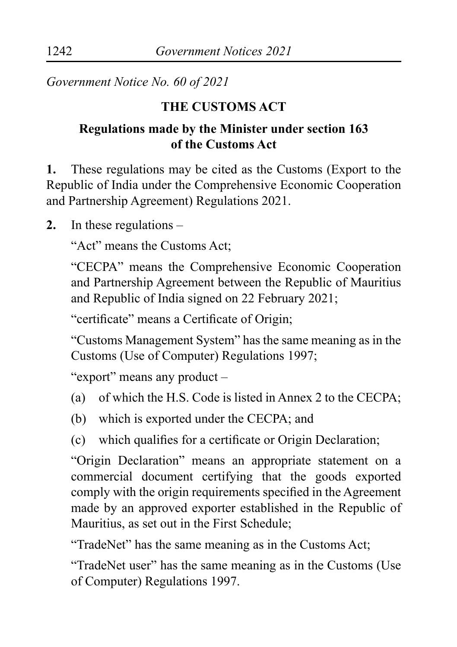*Government Notice No. 60 of 2021*

## **THE CUSTOMS ACT**

# **Regulations made by the Minister under section 163 of the Customs Act**

**1.** These regulations may be cited as the Customs (Export to the Republic of India under the Comprehensive Economic Cooperation and Partnership Agreement) Regulations 2021.

**2.** In these regulations –

"Act" means the Customs Act;

"CECPA" means the Comprehensive Economic Cooperation and Partnership Agreement between the Republic of Mauritius and Republic of India signed on 22 February 2021;

"certificate" means a Certificate of Origin;

"Customs Management System" has the same meaning as in the Customs (Use of Computer) Regulations 1997;

"export" means any product –

- (a) of which the H.S. Code is listed in Annex 2 to the CECPA;
- (b) which is exported under the CECPA; and
- (c) which qualifies for a certificate or Origin Declaration;

"Origin Declaration" means an appropriate statement on a commercial document certifying that the goods exported comply with the origin requirements specified in the Agreement made by an approved exporter established in the Republic of Mauritius, as set out in the First Schedule;

"TradeNet" has the same meaning as in the Customs Act;

"TradeNet user" has the same meaning as in the Customs (Use of Computer) Regulations 1997.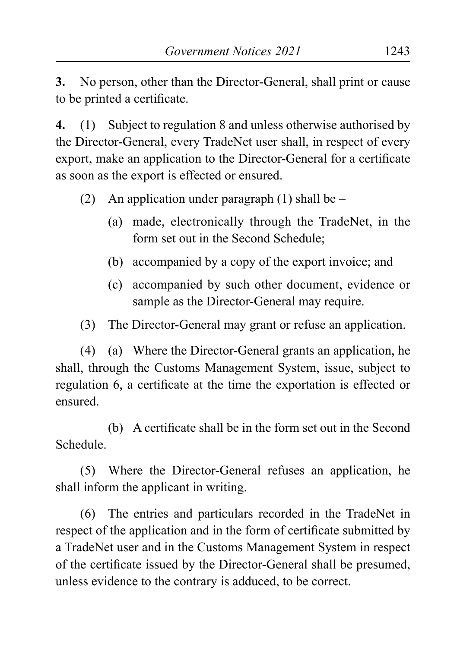**3.** No person, other than the Director-General, shall print or cause to be printed a certificate.

**4.** (1) Subject to regulation 8 and unless otherwise authorised by the Director-General, every TradeNet user shall, in respect of every export, make an application to the Director-General for a certificate as soon as the export is effected or ensured.

- (2) An application under paragraph  $(1)$  shall be
	- (a) made, electronically through the TradeNet, in the form set out in the Second Schedule;
	- (b) accompanied by a copy of the export invoice; and
	- (c) accompanied by such other document, evidence or sample as the Director-General may require.
- (3) The Director-General may grant or refuse an application.

(4) (a) Where the Director-General grants an application, he shall, through the Customs Management System, issue, subject to regulation 6, a certificate at the time the exportation is effected or ensured.

(b) A certificate shall be in the form set out in the Second Schedule.

(5) Where the Director-General refuses an application, he shall inform the applicant in writing.

(6) The entries and particulars recorded in the TradeNet in respect of the application and in the form of certificate submitted by a TradeNet user and in the Customs Management System in respect of the certificate issued by the Director-General shall be presumed, unless evidence to the contrary is adduced, to be correct.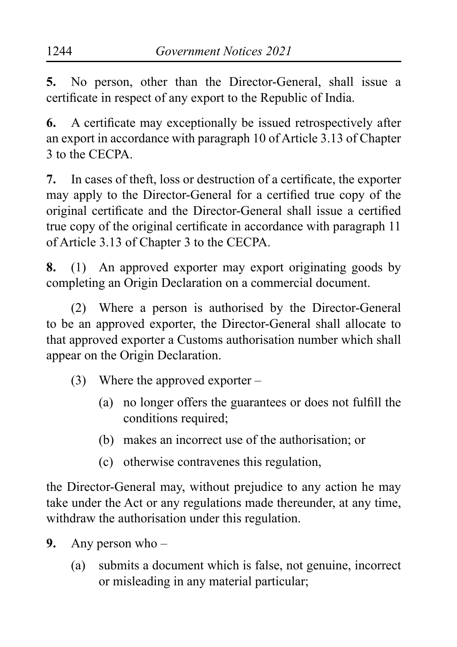**5.** No person, other than the Director-General, shall issue a certificate in respect of any export to the Republic of India.

**6.** A certificate may exceptionally be issued retrospectively after an export in accordance with paragraph 10 of Article 3.13 of Chapter 3 to the CECPA.

**7.** In cases of theft, loss or destruction of a certificate, the exporter may apply to the Director-General for a certified true copy of the original certificate and the Director-General shall issue a certified true copy of the original certificate in accordance with paragraph 11 of Article 3.13 of Chapter 3 to the CECPA.

**8.** (1) An approved exporter may export originating goods by completing an Origin Declaration on a commercial document.

(2) Where a person is authorised by the Director-General to be an approved exporter, the Director-General shall allocate to that approved exporter a Customs authorisation number which shall appear on the Origin Declaration.

- (3) Where the approved exporter
	- (a) no longer offers the guarantees or does not fulfill the conditions required;
	- (b) makes an incorrect use of the authorisation; or
	- (c) otherwise contravenes this regulation,

the Director-General may, without prejudice to any action he may take under the Act or any regulations made thereunder, at any time, withdraw the authorisation under this regulation.

- **9.** Any person who
	- (a) submits a document which is false, not genuine, incorrect or misleading in any material particular;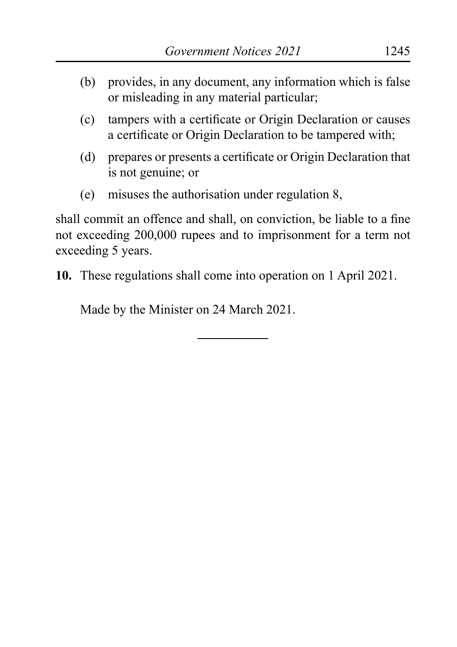- (b) provides, in any document, any information which is false or misleading in any material particular;
- (c) tampers with a certificate or Origin Declaration or causes a certificate or Origin Declaration to be tampered with;
- (d) prepares or presents a certificate or Origin Declaration that is not genuine; or
- (e) misuses the authorisation under regulation 8,

shall commit an offence and shall, on conviction, be liable to a fine not exceeding 200,000 rupees and to imprisonment for a term not exceeding 5 years.

**10.** These regulations shall come into operation on 1 April 2021.

Made by the Minister on 24 March 2021.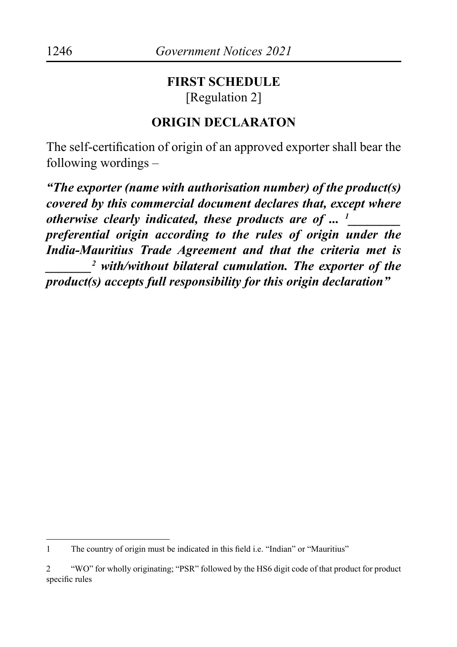#### **FIRST SCHEDULE** [Regulation 2]

#### **ORIGIN DECLARATON**

The self-certification of origin of an approved exporter shall bear the following wordings –

*"The exporter (name with authorisation number) of the product(s) covered by this commercial document declares that, except where otherwise clearly indicated, these products are of ... 1 \_\_\_\_\_\_\_\_ preferential origin according to the rules of origin under the India-Mauritius Trade Agreement and that the criteria met is \_\_\_\_\_\_\_2 with/without bilateral cumulation. The exporter of the product(s) accepts full responsibility for this origin declaration"*

<sup>1</sup> The country of origin must be indicated in this field i.e. "Indian" or "Mauritius"

<sup>2</sup> "WO" for wholly originating; "PSR" followed by the HS6 digit code of that product for product specific rules